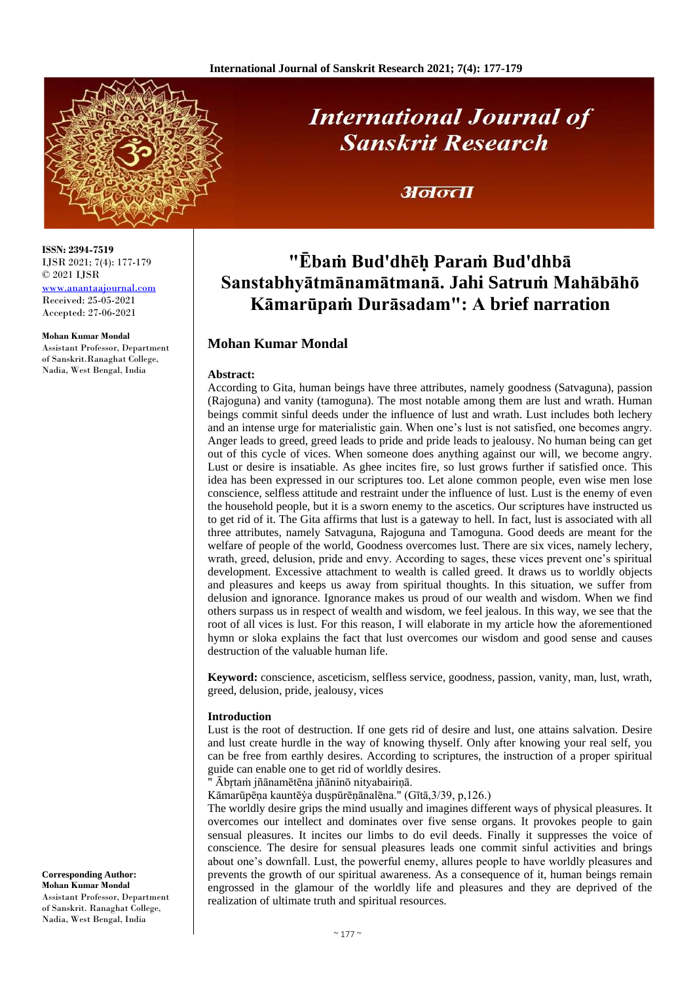

# **International Journal of Sanskrit Research**

### अनन्ता

## **"Ēbaṁ Bud'dhēḥ Paraṁ Bud'dhbā Sanstabhyātmānamātmanā. Jahi Satruṁ Mahābāhō Kāmarūpaṁ Durāsadam": A brief narration**

#### **Mohan Kumar Mondal**

#### **Abstract:**

According to Gita, human beings have three attributes, namely goodness (Satvaguna), passion (Rajoguna) and vanity (tamoguna). The most notable among them are lust and wrath. Human beings commit sinful deeds under the influence of lust and wrath. Lust includes both lechery and an intense urge for materialistic gain. When one's lust is not satisfied, one becomes angry. Anger leads to greed, greed leads to pride and pride leads to jealousy. No human being can get out of this cycle of vices. When someone does anything against our will, we become angry. Lust or desire is insatiable. As ghee incites fire, so lust grows further if satisfied once. This idea has been expressed in our scriptures too. Let alone common people, even wise men lose conscience, selfless attitude and restraint under the influence of lust. Lust is the enemy of even the household people, but it is a sworn enemy to the ascetics. Our scriptures have instructed us to get rid of it. The Gita affirms that lust is a gateway to hell. In fact, lust is associated with all three attributes, namely Satvaguna, Rajoguna and Tamoguna. Good deeds are meant for the welfare of people of the world, Goodness overcomes lust. There are six vices, namely lechery, wrath, greed, delusion, pride and envy. According to sages, these vices prevent one's spiritual development. Excessive attachment to wealth is called greed. It draws us to worldly objects and pleasures and keeps us away from spiritual thoughts. In this situation, we suffer from delusion and ignorance. Ignorance makes us proud of our wealth and wisdom. When we find others surpass us in respect of wealth and wisdom, we feel jealous. In this way, we see that the root of all vices is lust. For this reason, I will elaborate in my article how the aforementioned hymn or sloka explains the fact that lust overcomes our wisdom and good sense and causes destruction of the valuable human life.

**Keyword:** conscience, asceticism, selfless service, goodness, passion, vanity, man, lust, wrath, greed, delusion, pride, jealousy, vices

#### **Introduction**

Lust is the root of destruction. If one gets rid of desire and lust, one attains salvation. Desire and lust create hurdle in the way of knowing thyself. Only after knowing your real self, you can be free from earthly desires. According to scriptures, the instruction of a proper spiritual guide can enable one to get rid of worldly desires.

" Ābr̥taṁ jñānamētēna jñāninō nityabairiṇā.

Kāmarūpēṇa kauntēẏa duṣpūrēṇānalēna." (Gītā,3/39, p,126.)

The worldly desire grips the mind usually and imagines different ways of physical pleasures. It overcomes our intellect and dominates over five sense organs. It provokes people to gain sensual pleasures. It incites our limbs to do evil deeds. Finally it suppresses the voice of conscience. The desire for sensual pleasures leads one commit sinful activities and brings about one's downfall. Lust, the powerful enemy, allures people to have worldly pleasures and prevents the growth of our spiritual awareness. As a consequence of it, human beings remain engrossed in the glamour of the worldly life and pleasures and they are deprived of the realization of ultimate truth and spiritual resources.

**ISSN: 2394-7519** IJSR 2021; 7(4): 177-179 © 2021 IJSR

[www.anantaajournal.com](http://www.anantaajournal.com/) Received: 25-05-2021 Accepted: 27-06-2021

#### **Mohan Kumar Mondal**

Assistant Professor, Department of Sanskrit.Ranaghat College, Nadia, West Bengal, India

**Corresponding Author: Mohan Kumar Mondal** Assistant Professor, Department of Sanskrit. Ranaghat College, Nadia, West Bengal, India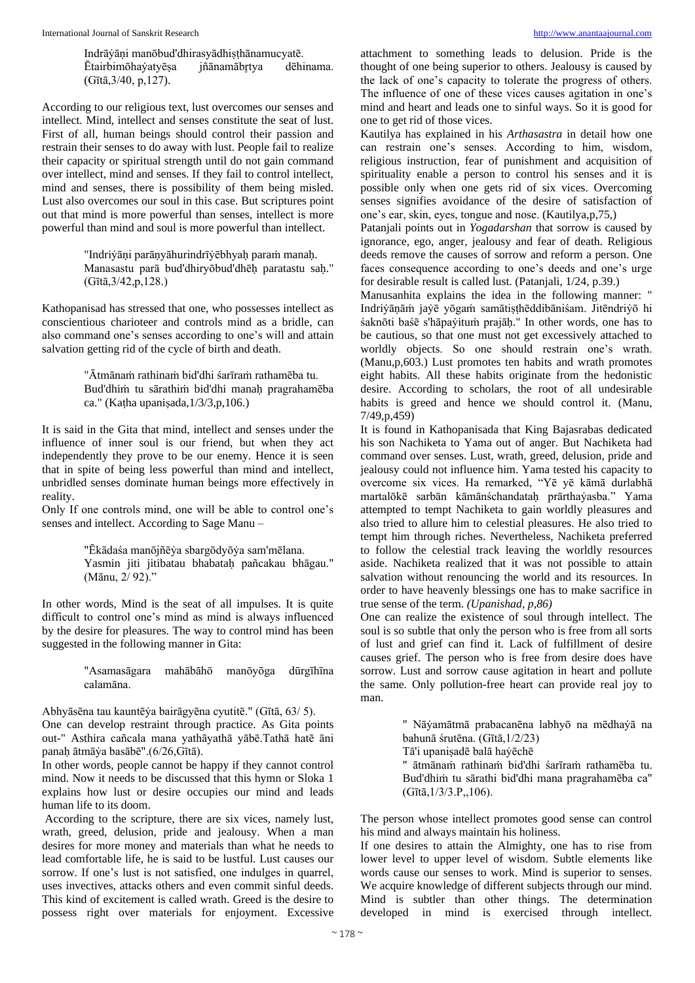Indrāẏāṇi manōbud'dhirasyādhiṣṭhānamucyatē. Ētairbimōhaỳatyēṣa jñānamābr̥tya dēhinama. (Gītā,3/40, p,127).

According to our religious text, lust overcomes our senses and intellect. Mind, intellect and senses constitute the seat of lust. First of all, human beings should control their passion and restrain their senses to do away with lust. People fail to realize their capacity or spiritual strength until do not gain command over intellect, mind and senses. If they fail to control intellect, mind and senses, there is possibility of them being misled. Lust also overcomes our soul in this case. But scriptures point out that mind is more powerful than senses, intellect is more powerful than mind and soul is more powerful than intellect.

> "Indriẏāṇi parāṇyāhurindrīẏēbhyaḥ paraṁ manaḥ. Manasastu parā bud'dhiryōbud'dhēḥ paratastu saḥ." (Gītā,3/42,p,128.)

Kathopanisad has stressed that one, who possesses intellect as conscientious charioteer and controls mind as a bridle, can also command one's senses according to one's will and attain salvation getting rid of the cycle of birth and death.

> "Ātmānaṁ rathinaṁ bid'dhi śarīraṁ rathamēba tu. Bud'dhiṁ tu sārathiṁ bid'dhi manaḥ pragrahamēba ca." (Kaṭha upaniṣada,1/3/3,p,106.)

It is said in the Gita that mind, intellect and senses under the influence of inner soul is our friend, but when they act independently they prove to be our enemy. Hence it is seen that in spite of being less powerful than mind and intellect, unbridled senses dominate human beings more effectively in reality.

Only If one controls mind, one will be able to control one's senses and intellect. According to Sage Manu –

> "Ēkādaśa manōjñēẏa sbargōdyōẏa sam'mēlana. Yasmin jiti jitibatau bhabatah pañcakau bhāgau." (Mānu, 2/ 92)."

In other words, Mind is the seat of all impulses. It is quite difficult to control one's mind as mind is always influenced by the desire for pleasures. The way to control mind has been suggested in the following manner in Gita:

> "Asamasāgara mahābāhō manōyōga dūrgīhīna calamāna.

Abhyāsēna tau kauntēẏa bairāgyēna cyutitē." (Gītā, 63/ 5).

One can develop restraint through practice. As Gita points out-" Asthira cañcala mana yathāyathā yābē.Tathā hatē āni panaḥ ātmāẏa basābē".(6/26,Gītā).

In other words, people cannot be happy if they cannot control mind. Now it needs to be discussed that this hymn or Sloka 1 explains how lust or desire occupies our mind and leads human life to its doom.

According to the scripture, there are six vices, namely lust, wrath, greed, delusion, pride and jealousy. When a man desires for more money and materials than what he needs to lead comfortable life, he is said to be lustful. Lust causes our sorrow. If one's lust is not satisfied, one indulges in quarrel, uses invectives, attacks others and even commit sinful deeds. This kind of excitement is called wrath. Greed is the desire to possess right over materials for enjoyment. Excessive

attachment to something leads to delusion. Pride is the thought of one being superior to others. Jealousy is caused by the lack of one's capacity to tolerate the progress of others. The influence of one of these vices causes agitation in one's mind and heart and leads one to sinful ways. So it is good for one to get rid of those vices.

Kautilya has explained in his *Arthasastra* in detail how one can restrain one's senses. According to him, wisdom, religious instruction, fear of punishment and acquisition of spirituality enable a person to control his senses and it is possible only when one gets rid of six vices. Overcoming senses signifies avoidance of the desire of satisfaction of one's ear, skin, eyes, tongue and nose. (Kautilya,p,75,)

Patanjali points out in *Yogadarshan* that sorrow is caused by ignorance, ego, anger, jealousy and fear of death. Religious deeds remove the causes of sorrow and reform a person. One faces consequence according to one's deeds and one's urge for desirable result is called lust. (Patanjali, 1/24, p.39.)

Manusanhita explains the idea in the following manner: " Indriẏāṇāṁ jaẏē yōgaṁ samātiṣṭhēddibāniśam. Jitēndriẏō hi śaknōti baśē s'hāpaẏituṁ prajāḥ." In other words, one has to be cautious, so that one must not get excessively attached to worldly objects. So one should restrain one's wrath. (Manu,p,603.) Lust promotes ten habits and wrath promotes eight habits. All these habits originate from the hedonistic desire. According to scholars, the root of all undesirable habits is greed and hence we should control it. (Manu, 7/49,p,459)

It is found in Kathopanisada that King Bajasrabas dedicated his son Nachiketa to Yama out of anger. But Nachiketa had command over senses. Lust, wrath, greed, delusion, pride and jealousy could not influence him. Yama tested his capacity to overcome six vices. Ha remarked, "Yē yē kāmā durlabhā martalōkē sarbān kāmānśchandataḥ prārthaỳasba." Yama attempted to tempt Nachiketa to gain worldly pleasures and also tried to allure him to celestial pleasures. He also tried to tempt him through riches. Nevertheless, Nachiketa preferred to follow the celestial track leaving the worldly resources aside. Nachiketa realized that it was not possible to attain salvation without renouncing the world and its resources. In order to have heavenly blessings one has to make sacrifice in true sense of the term. *(Upanishad, p,86)*

One can realize the existence of soul through intellect. The soul is so subtle that only the person who is free from all sorts of lust and grief can find it. Lack of fulfillment of desire causes grief. The person who is free from desire does have sorrow. Lust and sorrow cause agitation in heart and pollute the same. Only pollution-free heart can provide real joy to man.

> " Nāẏamātmā prabacanēna labhyō na mēdhaẏā na bahunā śrutēna. (Gītā,1/2/23) Tā'i upaniṣadē balā haẏēchē

> " ātmānaṁ rathinaṁ bid'dhi śarīraṁ rathamēba tu. Bud'dhiṁ tu sārathi bid'dhi mana pragrahamēba ca" (Gītā,1/3/3.P,,106).

The person whose intellect promotes good sense can control his mind and always maintain his holiness.

If one desires to attain the Almighty, one has to rise from lower level to upper level of wisdom. Subtle elements like words cause our senses to work. Mind is superior to senses. We acquire knowledge of different subjects through our mind. Mind is subtler than other things. The determination developed in mind is exercised through intellect.